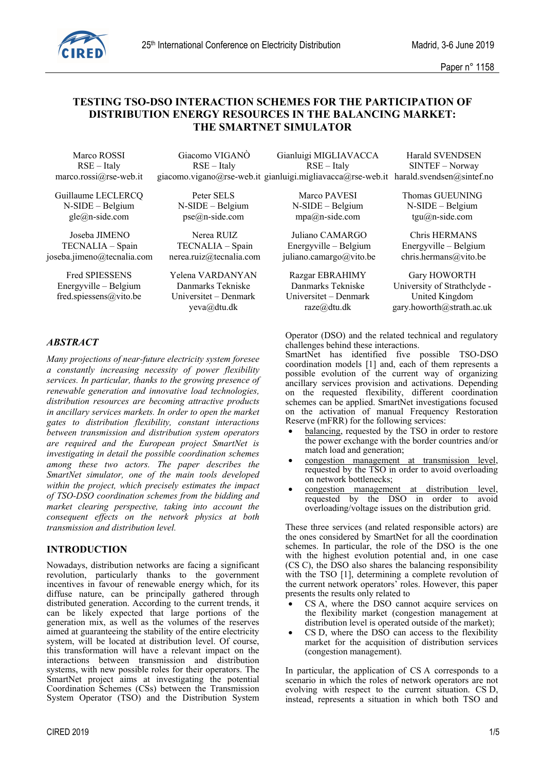

# **TESTING TSO-DSO INTERACTION SCHEMES FOR THE PARTICIPATION OF DISTRIBUTION ENERGY RESOURCES IN THE BALANCING MARKET: THE SMARTNET SIMULATOR**

Marco ROSSI RSE – Italy marco.rossi@rse-web.it

Giacomo VIGANÒ RSE – Italy giacomo.vigano@rse-web.it gianluigi.migliavacca@rse-web.it harald.svendsen@sintef.no Gianluigi MIGLIAVACCA RSE – Italy Harald SVENDSEN SINTEF – Norway

Guillaume LECLERCQ N-SIDE – Belgium gle@n-side.com

Joseba JIMENO TECNALIA – Spain joseba.jimeno@tecnalia.com

Fred SPIESSENS Energyville – Belgium fred.spiessens@vito.be

Peter SELS N-SIDE – Belgium pse@n-side.com

Nerea RUIZ TECNALIA – Spain nerea.ruiz@tecnalia.com

Yelena VARDANYAN Danmarks Tekniske Universitet – Denmark yeva@dtu.dk

Marco PAVESI N-SIDE – Belgium mpa@n-side.com

Juliano CAMARGO Energyville – Belgium juliano.camargo@vito.be

Razgar EBRAHIMY Danmarks Tekniske Universitet – Denmark raze@dtu.dk

Thomas GUEUNING N-SIDE – Belgium tgu@n-side.com

Chris HERMANS Energyville – Belgium chris.hermans@vito.be

Gary HOWORTH University of Strathclyde - United Kingdom gary.howorth@strath.ac.uk

# *ABSTRACT*

*Many projections of near-future electricity system foresee a constantly increasing necessity of power flexibility services. In particular, thanks to the growing presence of renewable generation and innovative load technologies, distribution resources are becoming attractive products in ancillary services markets. In order to open the market gates to distribution flexibility, constant interactions between transmission and distribution system operators are required and the European project SmartNet is investigating in detail the possible coordination schemes among these two actors. The paper describes the SmartNet simulator, one of the main tools developed within the project, which precisely estimates the impact of TSO-DSO coordination schemes from the bidding and market clearing perspective, taking into account the consequent effects on the network physics at both transmission and distribution level.*

# **INTRODUCTION**

Nowadays, distribution networks are facing a significant revolution, particularly thanks to the government incentives in favour of renewable energy which, for its diffuse nature, can be principally gathered through distributed generation. According to the current trends, it can be likely expected that large portions of the generation mix, as well as the volumes of the reserves aimed at guaranteeing the stability of the entire electricity system, will be located at distribution level. Of course, this transformation will have a relevant impact on the interactions between transmission and distribution systems, with new possible roles for their operators. The SmartNet project aims at investigating the potential Coordination Schemes (CSs) between the Transmission System Operator (TSO) and the Distribution System Operator (DSO) and the related technical and regulatory challenges behind these interactions.

SmartNet has identified five possible TSO-DSO coordination models [1] and, each of them represents a possible evolution of the current way of organizing ancillary services provision and activations. Depending on the requested flexibility, different coordination schemes can be applied. SmartNet investigations focused on the activation of manual Frequency Restoration Reserve (mFRR) for the following services:

- balancing, requested by the TSO in order to restore the power exchange with the border countries and/or match load and generation;
- congestion management at transmission level, requested by the TSO in order to avoid overloading on network bottlenecks;
- congestion management at distribution level, requested by the DSO in order to avoid overloading/voltage issues on the distribution grid.

These three services (and related responsible actors) are the ones considered by SmartNet for all the coordination schemes. In particular, the role of the DSO is the one with the highest evolution potential and, in one case (CS C), the DSO also shares the balancing responsibility with the TSO [1], determining a complete revolution of the current network operators' roles. However, this paper presents the results only related to

- CS A, where the DSO cannot acquire services on the flexibility market (congestion management at distribution level is operated outside of the market);
- CS D, where the DSO can access to the flexibility market for the acquisition of distribution services (congestion management).

In particular, the application of CS A corresponds to a scenario in which the roles of network operators are not evolving with respect to the current situation. CS D, instead, represents a situation in which both TSO and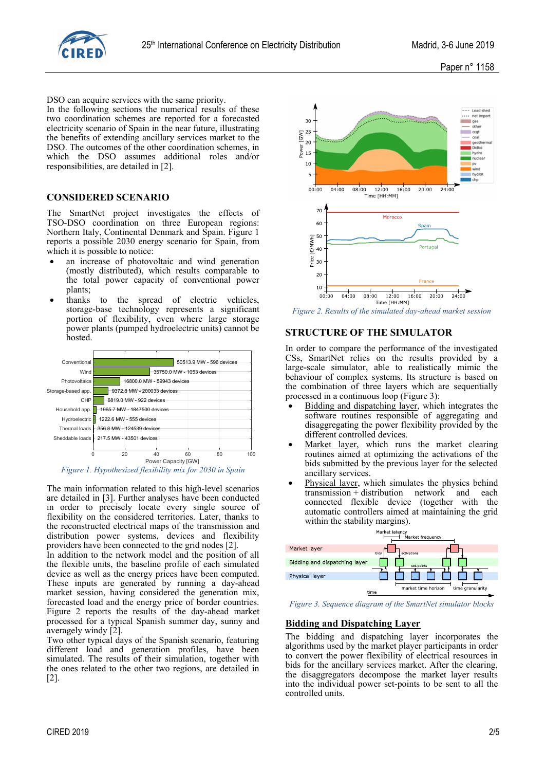

DSO can acquire services with the same priority.

In the following sections the numerical results of these two coordination schemes are reported for a forecasted electricity scenario of Spain in the near future, illustrating the benefits of extending ancillary services market to the DSO. The outcomes of the other coordination schemes, in which the DSO assumes additional roles and/or responsibilities, are detailed in [2].

## **CONSIDERED SCENARIO**

The SmartNet project investigates the effects of TSO-DSO coordination on three European regions: Northern Italy, Continental Denmark and Spain. Figure 1 reports a possible 2030 energy scenario for Spain, from which it is possible to notice:

- an increase of photovoltaic and wind generation (mostly distributed), which results comparable to the total power capacity of conventional power plants;
- thanks to the spread of electric vehicles, storage-base technology represents a significant portion of flexibility, even where large storage power plants (pumped hydroelectric units) cannot be hosted.





The main information related to this high-level scenarios are detailed in [3]. Further analyses have been conducted in order to precisely locate every single source of flexibility on the considered territories. Later, thanks to the reconstructed electrical maps of the transmission and distribution power systems, devices and flexibility providers have been connected to the grid nodes [2].

In addition to the network model and the position of all the flexible units, the baseline profile of each simulated device as well as the energy prices have been computed. These inputs are generated by running a day-ahead market session, having considered the generation mix, forecasted load and the energy price of border countries. Figure 2 reports the results of the day-ahead market processed for a typical Spanish summer day, sunny and averagely windy [2].

Two other typical days of the Spanish scenario, featuring different load and generation profiles, have been simulated. The results of their simulation, together with the ones related to the other two regions, are detailed in [2].



*Figure 2. Results of the simulated day-ahead market session*

## **STRUCTURE OF THE SIMULATOR**

In order to compare the performance of the investigated CSs, SmartNet relies on the results provided by a large-scale simulator, able to realistically mimic the behaviour of complex systems. Its structure is based on the combination of three layers which are sequentially processed in a continuous loop (Figure 3):

- Bidding and dispatching layer, which integrates the software routines responsible of aggregating and disaggregating the power flexibility provided by the different controlled devices.
- Market layer, which runs the market clearing routines aimed at optimizing the activations of the bids submitted by the previous layer for the selected ancillary services.
- Physical layer, which simulates the physics behind transmission + distribution network and each connected flexible device (together with the automatic controllers aimed at maintaining the grid within the stability margins).



*Figure 3. Sequence diagram of the SmartNet simulator blocks*

# **Bidding and Dispatching Layer**

The bidding and dispatching layer incorporates the algorithms used by the market player participants in order to convert the power flexibility of electrical resources in bids for the ancillary services market. After the clearing, the disaggregators decompose the market layer results into the individual power set-points to be sent to all the controlled units.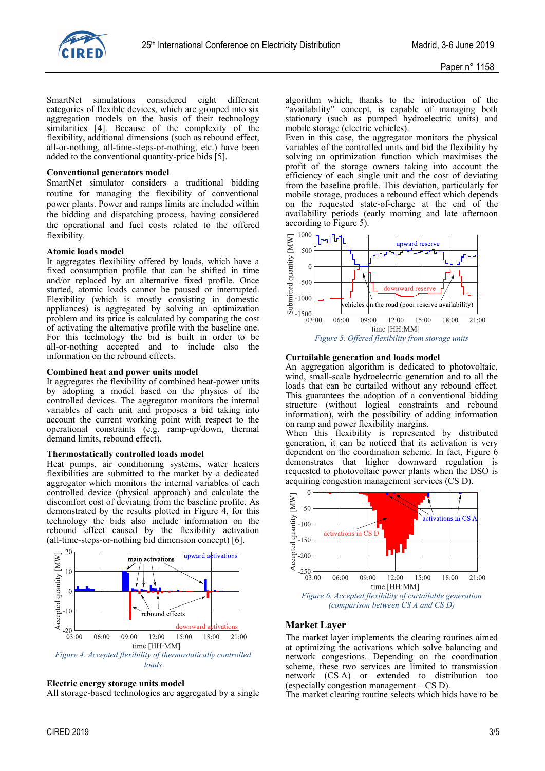

SmartNet simulations considered eight different categories of flexible devices, which are grouped into six aggregation models on the basis of their technology similarities [4]. Because of the complexity of the flexibility, additional dimensions (such as rebound effect, all-or-nothing, all-time-steps-or-nothing, etc.) have been added to the conventional quantity-price bids [5].

#### **Conventional generators model**

SmartNet simulator considers a traditional bidding routine for managing the flexibility of conventional power plants. Power and ramps limits are included within the bidding and dispatching process, having considered the operational and fuel costs related to the offered flexibility.

#### **Atomic loads model**

It aggregates flexibility offered by loads, which have a fixed consumption profile that can be shifted in time and/or replaced by an alternative fixed profile. Once started, atomic loads cannot be paused or interrupted. Flexibility (which is mostly consisting in domestic appliances) is aggregated by solving an optimization problem and its price is calculated by comparing the cost of activating the alternative profile with the baseline one. For this technology the bid is built in order to be all-or-nothing accepted and to include also the information on the rebound effects.

#### **Combined heat and power units model**

It aggregates the flexibility of combined heat-power units by adopting a model based on the physics of the controlled devices. The aggregator monitors the internal variables of each unit and proposes a bid taking into account the current working point with respect to the operational constraints (e.g. ramp-up/down, thermal demand limits, rebound effect).

## **Thermostatically controlled loads model**

Heat pumps, air conditioning systems, water heaters flexibilities are submitted to the market by a dedicated aggregator which monitors the internal variables of each controlled device (physical approach) and calculate the discomfort cost of deviating from the baseline profile. As demonstrated by the results plotted in Figure 4, for this technology the bids also include information on the rebound effect caused by the flexibility activation (all-time-steps-or-nothing bid dimension concept) [6].



## **Electric energy storage units model**

All storage-based technologies are aggregated by a single

algorithm which, thanks to the introduction of the "availability" concept, is capable of managing both stationary (such as pumped hydroelectric units) and mobile storage (electric vehicles).

Even in this case, the aggregator monitors the physical variables of the controlled units and bid the flexibility by solving an optimization function which maximises the profit of the storage owners taking into account the efficiency of each single unit and the cost of deviating from the baseline profile. This deviation, particularly for mobile storage, produces a rebound effect which depends on the requested state-of-charge at the end of the availability periods (early morning and late afternoon according to Figure 5).



#### **Curtailable generation and loads model**

An aggregation algorithm is dedicated to photovoltaic, wind, small-scale hydroelectric generation and to all the loads that can be curtailed without any rebound effect. This guarantees the adoption of a conventional bidding structure (without logical constraints and rebound information), with the possibility of adding information on ramp and power flexibility margins.

When this flexibility is represented by distributed generation, it can be noticed that its activation is very dependent on the coordination scheme. In fact, Figure 6 demonstrates that higher downward regulation is requested to photovoltaic power plants when the DSO is acquiring congestion management services (CS D).



# **Market Layer**

The market layer implements the clearing routines aimed at optimizing the activations which solve balancing and network congestions. Depending on the coordination scheme, these two services are limited to transmission network (CS A) or extended to distribution too (especially congestion management – CS D).

The market clearing routine selects which bids have to be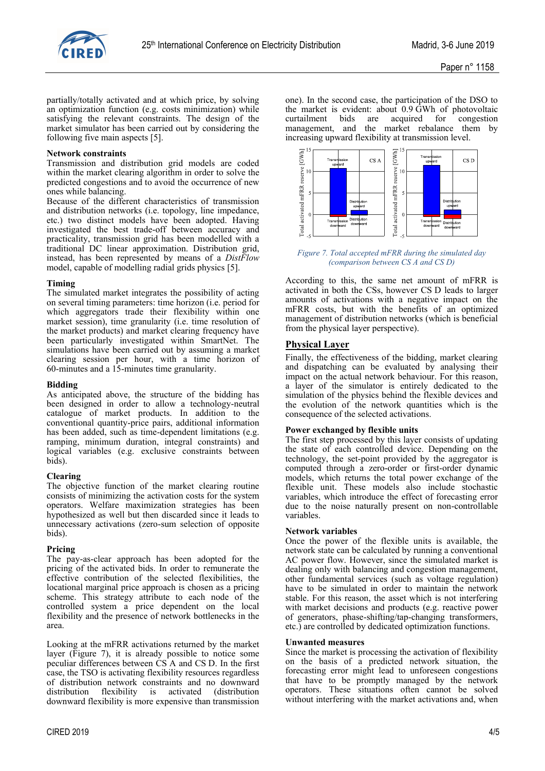

partially/totally activated and at which price, by solving an optimization function (e.g. costs minimization) while satisfying the relevant constraints. The design of the market simulator has been carried out by considering the following five main aspects [5].

### **Network constraints**

Transmission and distribution grid models are coded within the market clearing algorithm in order to solve the predicted congestions and to avoid the occurrence of new ones while balancing.

Because of the different characteristics of transmission and distribution networks (i.e. topology, line impedance, etc.) two distinct models have been adopted. Having investigated the best trade-off between accuracy and practicality, transmission grid has been modelled with a traditional DC linear approximation. Distribution grid, instead, has been represented by means of a *DistFlow* model, capable of modelling radial grids physics [5].

#### **Timing**

The simulated market integrates the possibility of acting on several timing parameters: time horizon (i.e. period for which aggregators trade their flexibility within one market session), time granularity (i.e. time resolution of the market products) and market clearing frequency have been particularly investigated within SmartNet. The simulations have been carried out by assuming a market clearing session per hour, with a time horizon of 60-minutes and a 15-minutes time granularity.

#### **Bidding**

As anticipated above, the structure of the bidding has been designed in order to allow a technology-neutral catalogue of market products. In addition to the conventional quantity-price pairs, additional information has been added, such as time-dependent limitations (e.g. ramping, minimum duration, integral constraints) and logical variables (e.g. exclusive constraints between bids).

## **Clearing**

The objective function of the market clearing routine consists of minimizing the activation costs for the system operators. Welfare maximization strategies has been hypothesized as well but then discarded since it leads to unnecessary activations (zero-sum selection of opposite bids).

## **Pricing**

The pay-as-clear approach has been adopted for the pricing of the activated bids. In order to remunerate the effective contribution of the selected flexibilities, the locational marginal price approach is chosen as a pricing scheme. This strategy attribute to each node of the controlled system a price dependent on the local flexibility and the presence of network bottlenecks in the area.

Looking at the mFRR activations returned by the market layer (Figure 7), it is already possible to notice some peculiar differences between CS A and CS D. In the first case, the TSO is activating flexibility resources regardless of distribution network constraints and no downward distribution flexibility is activated (distribution downward flexibility is more expensive than transmission one). In the second case, the participation of the DSO to the market is evident: about 0.9 GWh of photovoltaic<br>curtailment bids are acquired for congestion curtailment bids are acquired for congestion management, and the market rebalance them by increasing upward flexibility at transmission level.



*Figure 7. Total accepted mFRR during the simulated day (comparison between CS A and CS D)*

According to this, the same net amount of mFRR is activated in both the CSs, however CS D leads to larger amounts of activations with a negative impact on the mFRR costs, but with the benefits of an optimized management of distribution networks (which is beneficial from the physical layer perspective).

## **Physical Layer**

Finally, the effectiveness of the bidding, market clearing and dispatching can be evaluated by analysing their impact on the actual network behaviour. For this reason, a layer of the simulator is entirely dedicated to the simulation of the physics behind the flexible devices and the evolution of the network quantities which is the consequence of the selected activations.

## **Power exchanged by flexible units**

The first step processed by this layer consists of updating the state of each controlled device. Depending on the technology, the set-point provided by the aggregator is computed through a zero-order or first-order dynamic models, which returns the total power exchange of the flexible unit. These models also include stochastic variables, which introduce the effect of forecasting error due to the noise naturally present on non-controllable variables.

#### **Network variables**

Once the power of the flexible units is available, the network state can be calculated by running a conventional AC power flow. However, since the simulated market is dealing only with balancing and congestion management, other fundamental services (such as voltage regulation) have to be simulated in order to maintain the network stable. For this reason, the asset which is not interfering with market decisions and products (e.g. reactive power of generators, phase-shifting/tap-changing transformers, etc.) are controlled by dedicated optimization functions.

#### **Unwanted measures**

Since the market is processing the activation of flexibility on the basis of a predicted network situation, the forecasting error might lead to unforeseen congestions that have to be promptly managed by the network operators. These situations often cannot be solved without interfering with the market activations and, when